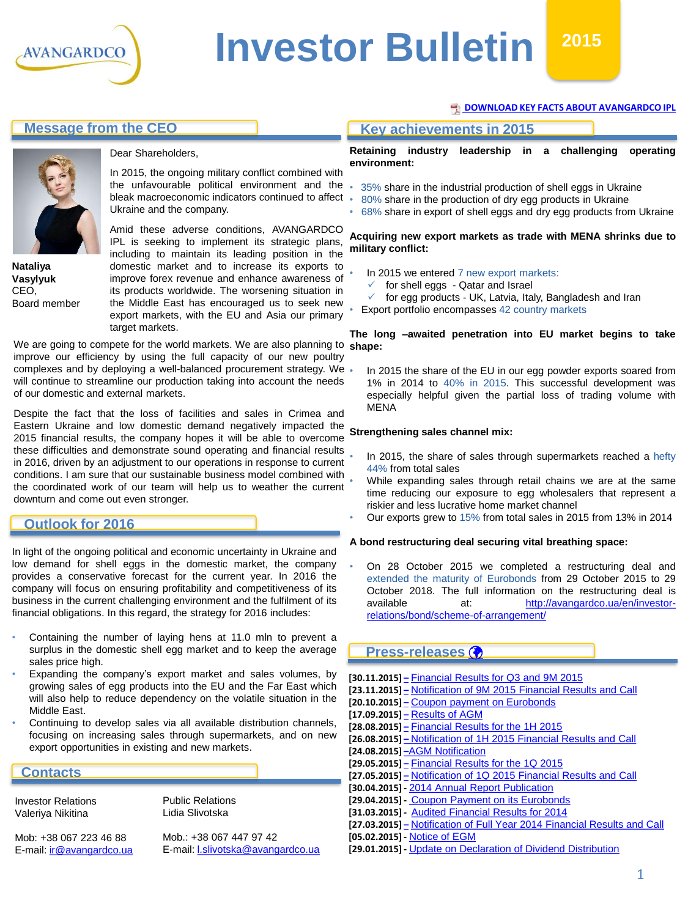

## **Investor Bulletin <sup>2015</sup>**

### **Message from the CEO Key achievements in 2015**

**Nataliya Vasylyuk** CEO, Board member

#### Dear Shareholders,

In 2015, the ongoing military conflict combined with the unfavourable political environment and the bleak macroeconomic indicators continued to affect Ukraine and the company.

Amid these adverse conditions, AVANGARDCO IPL is seeking to implement its strategic plans, including to maintain its leading position in the domestic market and to increase its exports to improve forex revenue and enhance awareness of its products worldwide. The worsening situation in the Middle East has encouraged us to seek new export markets, with the EU and Asia our primary target markets.

We are going to compete for the world markets. We are also planning to shape: improve our efficiency by using the full capacity of our new poultry complexes and by deploying a well-balanced procurement strategy. We will continue to streamline our production taking into account the needs of our domestic and external markets.

Despite the fact that the loss of facilities and sales in Crimea and Eastern Ukraine and low domestic demand negatively impacted the 2015 financial results, the company hopes it will be able to overcome these difficulties and demonstrate sound operating and financial results in 2016, driven by an adjustment to our operations in response to current conditions. I am sure that our sustainable business model combined with the coordinated work of our team will help us to weather the current downturn and come out even stronger.

#### **Outlook for 2016**

In light of the ongoing political and economic uncertainty in Ukraine and low demand for shell eggs in the domestic market, the company provides a conservative forecast for the current year. In 2016 the company will focus on ensuring profitability and competitiveness of its business in the current challenging environment and the fulfilment of its financial obligations. In this regard, the strategy for 2016 includes:

- Containing the number of laying hens at 11.0 mln to prevent a surplus in the domestic shell egg market and to keep the average sales price high.
- Expanding the company's export market and sales volumes, by growing sales of egg products into the EU and the Far East which will also help to reduce dependency on the volatile situation in the Middle East.
- Continuing to develop sales via all available distribution channels, focusing on increasing sales through supermarkets, and on new export opportunities in existing and new markets.

#### **Contacts**

Investor Relations Valeriya Nikitina

Public Relations Lidia Slivotska

Mob: +38 067 223 46 88 E-mail: *ir@avangardco.ua*  Mob.: +38 067 447 97 42 E-mail: [l.slivotska@avangardco.ua](mailto:l.slivotska@avangardco.ua)

#### **[DOWNLOAD KEY FACTS ABOUT AVANGARDCO IPL](http://www.avangard.co.ua/eng/for-investors/financial-overview/key_files/)**

**Retaining industry leadership in a challenging operating environment:**

- 35% share in the industrial production of shell eggs in Ukraine<br>• 80% share in the production of dry egg products in Ukraine
- 80% share in the production of dry egg products in Ukraine
- 68% share in export of shell eggs and dry egg products from Ukraine

#### **Acquiring new export markets as trade with MENA shrinks due to military conflict:**

- In 2015 we entered 7 new export markets:
	- for shell eggs Qatar and Israel
	- $\checkmark$  for egg products UK, Latvia, Italy, Bangladesh and Iran
- Export portfolio encompasses 42 country markets

### **The long –awaited penetration into EU market begins to take**

• In 2015 the share of the EU in our egg powder exports soared from 1% in 2014 to 40% in 2015. This successful development was especially helpful given the partial loss of trading volume with MENA

#### **Strengthening sales channel mix:**

- In 2015, the share of sales through supermarkets reached a hefty 44% from total sales
- While expanding sales through retail chains we are at the same time reducing our exposure to egg wholesalers that represent a riskier and less lucrative home market channel
- Our exports grew to 15% from total sales in 2015 from 13% in 2014

#### **A bond restructuring deal securing vital breathing space:**

• On 28 October 2015 we completed a restructuring deal and extended the maturity of Eurobonds from 29 October 2015 to 29 October 2018. The full information on the restructuring deal is available at: http://avangardco.ua/en/investor[relations/bond/scheme-of-arrangement/](http://avangardco.ua/en/investor-relations/bond/scheme-of-arrangement/)

#### **Press-releases**

| [30.11.2015] – Financial Results for Q3 and 9M 2015                      |
|--------------------------------------------------------------------------|
| [23.11.2015] – Notification of 9M 2015 Financial Results and Call        |
| [20.10.2015] - Coupon payment on Eurobonds                               |
| [17.09.2015] – Results of AGM                                            |
| [28.08.2015] – Financial Results for the 1H 2015                         |
| [26.08.2015] - Notification of 1H 2015 Financial Results and Call        |
| [24.08.2015]-AGM Notification                                            |
| [29.05.2015] – Financial Results for the 1Q 2015                         |
| [27.05.2015] - Notification of 1Q 2015 Financial Results and Call        |
| [30.04.2015] 2014 Annual Report Publication                              |
| [29.04.2015] - Coupon Payment on its Eurobonds                           |
| [31.03.2015] Audited Financial Results for 2014                          |
| [27.03.2015] – Notification of Full Year 2014 Financial Results and Call |
| [05.02.2015] Notice of EGM                                               |
| [29.01.2015] - Update on Declaration of Dividend Distribution            |
|                                                                          |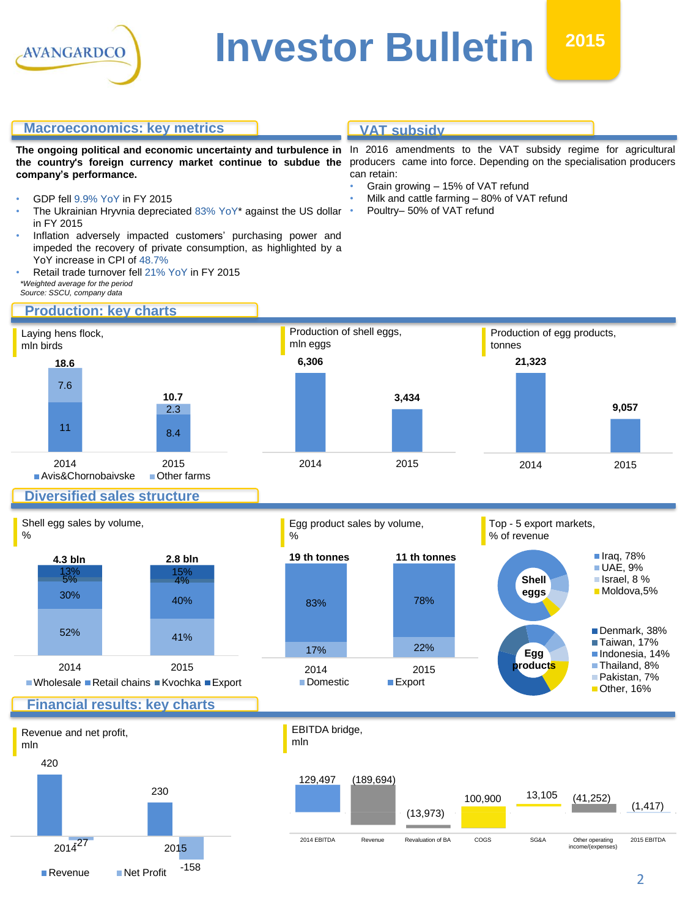

# **Investor Bulletin**

### **Macroeconomics: key metrics**

**The ongoing political and economic uncertainty and turbulence in** In 2016 amendments to the VAT subsidy regime for agricultural **the country's foreign currency market continue to subdue the** producers came into force. Depending on the specialisation producers **company's performance.**

- GDP fell 9.9% YoY in FY 2015
- The Ukrainian Hryvnia depreciated 83% YoY\* against the US dollar in FY 2015
- Inflation adversely impacted customers' purchasing power and impeded the recovery of private consumption, as highlighted by a YoY increase in CPI of 48.7%
- Retail trade turnover fell 21% YoY in FY 2015 *\*Weighted average for the period Source: SSCU, company data*

#### **VAT subsidy**

can retain:

- Grain growing 15% of VAT refund
- Milk and cattle farming 80% of VAT refund
- Poultry- 50% of VAT refund

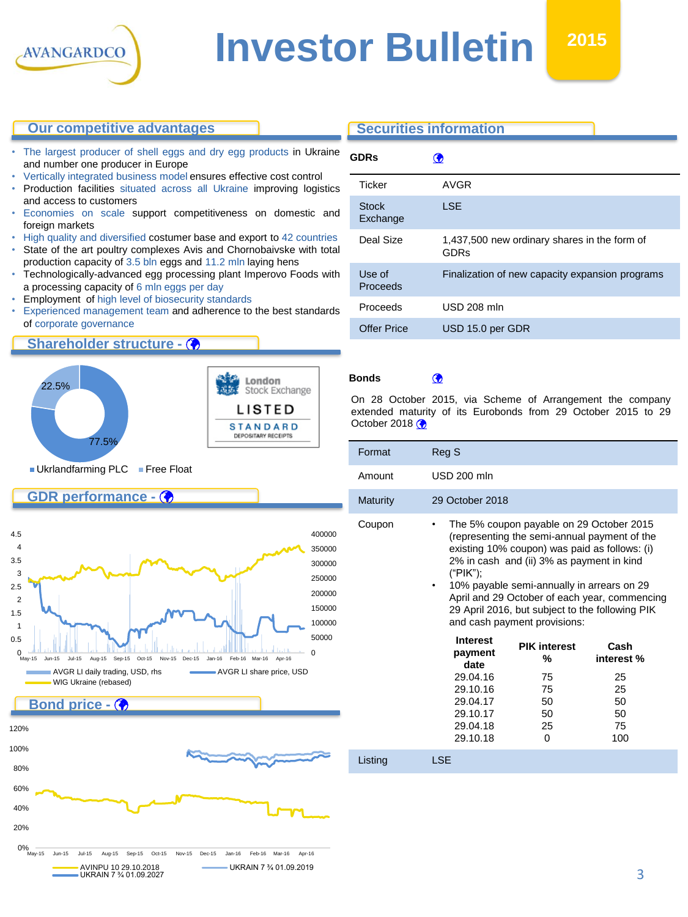

#### **Our competitive advantages**

- The largest producer of shell eggs and dry egg products in Ukraine and number one producer in Europe
- Vertically integrated business model ensures effective cost control
- Production facilities situated across all Ukraine improving logistics and access to customers
- Economies on scale support competitiveness on domestic and foreign markets
- High quality and diversified costumer base and export to 42 countries
- State of the art poultry complexes Avis and Chornobaivske with total production capacity of 3.5 bln eggs and 11.2 mln laying hens
- Technologically-advanced egg processing plant Imperovo Foods with a processing capacity of 6 mln eggs per day
- Employment of high level of biosecurity standards
- Experienced management team and adherence to the best standards of corporate governance

#### **Shareholder structure -**



## **GDR performance -**

#### **Bond price -** 120%  $\Omega$ 50000 100000 150000 200000 250000 300000 350000 400000 0 0.5 1 1.5 2 2.5 3 3.5 4 4.5 Jul-15 Aug-15 Sep-15 Oct-15 Nov-15 Dec-15 Jan-16 Feb-16 Mar-16 Apr-16 AVGR LI daily trading, USD, rhs AVGR LI share price, USD WIG Ukraine (rebased)



#### **Securities information**

| <b>GDRs</b>              |                                                             |
|--------------------------|-------------------------------------------------------------|
| Ticker                   | AVGR                                                        |
| <b>Stock</b><br>Exchange | <b>LSE</b>                                                  |
| Deal Size                | 1,437,500 new ordinary shares in the form of<br><b>GDRs</b> |
| Use of<br>Proceeds       | Finalization of new capacity expansion programs             |
| Proceeds                 | <b>USD 208 mln</b>                                          |
| <b>Offer Price</b>       | USD 15.0 per GDR                                            |
|                          |                                                             |

#### **Bonds**

On 28 October 2015, via Scheme of Arrangement the company extended maturity of its Eurobonds from 29 October 2015 to 29 October 2018 (

| Format          | Reg S                                                                                                                                                                                                                                                                                                                                                                                |                                |                          |  |
|-----------------|--------------------------------------------------------------------------------------------------------------------------------------------------------------------------------------------------------------------------------------------------------------------------------------------------------------------------------------------------------------------------------------|--------------------------------|--------------------------|--|
| Amount          | <b>USD 200 mln</b>                                                                                                                                                                                                                                                                                                                                                                   |                                |                          |  |
| <b>Maturity</b> | 29 October 2018                                                                                                                                                                                                                                                                                                                                                                      |                                |                          |  |
| Coupon          | The 5% coupon payable on 29 October 2015<br>(representing the semi-annual payment of the<br>existing 10% coupon) was paid as follows: (i)<br>2% in cash and (ii) 3% as payment in kind<br>("PIK");<br>10% payable semi-annually in arrears on 29<br>April and 29 October of each year, commencing<br>29 April 2016, but subject to the following PIK<br>and cash payment provisions: |                                |                          |  |
|                 | <b>Interest</b><br>payment<br>date<br>29.04.16                                                                                                                                                                                                                                                                                                                                       | <b>PIK interest</b><br>℅<br>75 | Cash<br>interest %<br>25 |  |
|                 | 29.10.16                                                                                                                                                                                                                                                                                                                                                                             | 75                             | 25                       |  |
|                 | 29.04.17                                                                                                                                                                                                                                                                                                                                                                             | 50                             | 50                       |  |
|                 | 29.10.17                                                                                                                                                                                                                                                                                                                                                                             | 50                             | 50                       |  |
|                 | 29.04.18                                                                                                                                                                                                                                                                                                                                                                             | 25                             | 75                       |  |
|                 | 29.10.18                                                                                                                                                                                                                                                                                                                                                                             | $\Omega$                       | 100                      |  |

#### Listing LSE